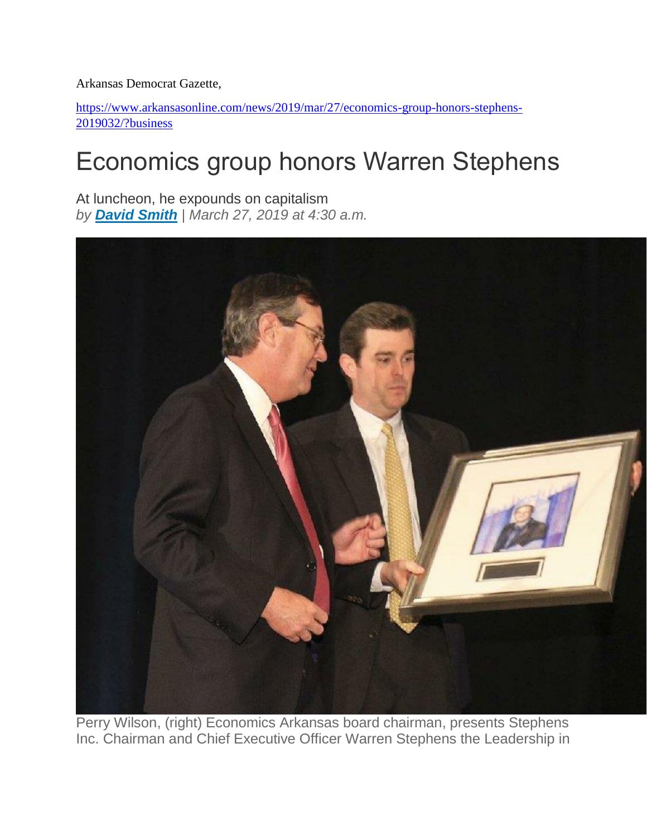Arkansas Democrat Gazette,

[https://www.arkansasonline.com/news/2019/mar/27/economics-group-honors-stephens-](https://www.arkansasonline.com/news/2019/mar/27/economics-group-honors-stephens-2019032/?business)[2019032/?business](https://www.arkansasonline.com/news/2019/mar/27/economics-group-honors-stephens-2019032/?business)

## Economics group honors Warren Stephens

At luncheon, he expounds on capitalism *by [David Smith](https://www.arkansasonline.com/staff/david-smith/) | March 27, 2019 at 4:30 a.m.*



Perry Wilson, (right) Economics Arkansas board chairman, presents Stephens Inc. Chairman and Chief Executive Officer Warren Stephens the Leadership in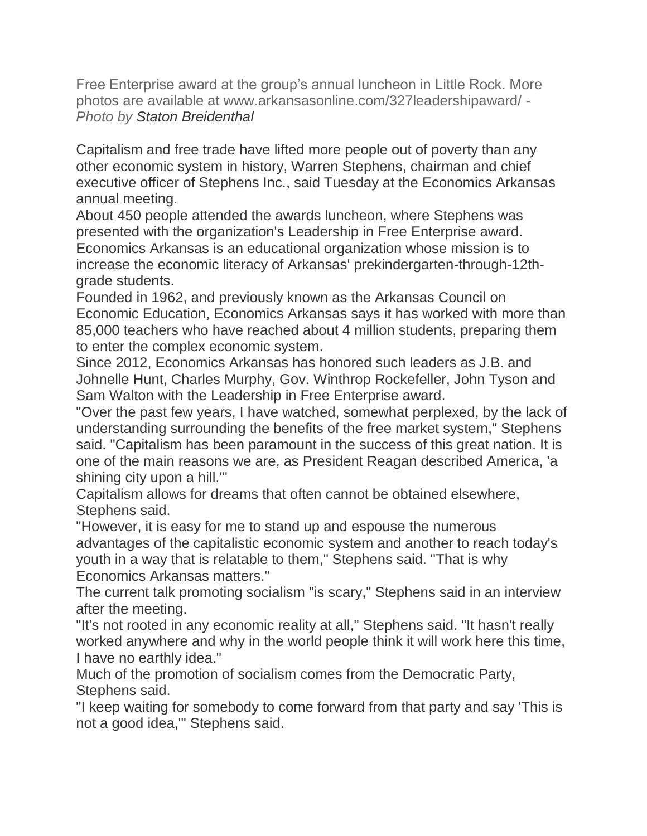Free Enterprise award at the group's annual luncheon in Little Rock. More photos are available at www.arkansasonline.com/327leadershipaward/ - *Photo by [Staton Breidenthal](https://www.arkansasonline.com/staff/staton-breidenthal/)*

Capitalism and free trade have lifted more people out of poverty than any other economic system in history, Warren Stephens, chairman and chief executive officer of Stephens Inc., said Tuesday at the Economics Arkansas annual meeting.

About 450 people attended the awards luncheon, where Stephens was presented with the organization's Leadership in Free Enterprise award. Economics Arkansas is an educational organization whose mission is to increase the economic literacy of Arkansas' prekindergarten-through-12thgrade students.

Founded in 1962, and previously known as the Arkansas Council on Economic Education, Economics Arkansas says it has worked with more than 85,000 teachers who have reached about 4 million students, preparing them to enter the complex economic system.

Since 2012, Economics Arkansas has honored such leaders as J.B. and Johnelle Hunt, Charles Murphy, Gov. Winthrop Rockefeller, John Tyson and Sam Walton with the Leadership in Free Enterprise award.

"Over the past few years, I have watched, somewhat perplexed, by the lack of understanding surrounding the benefits of the free market system," Stephens said. "Capitalism has been paramount in the success of this great nation. It is one of the main reasons we are, as President Reagan described America, 'a shining city upon a hill.'"

Capitalism allows for dreams that often cannot be obtained elsewhere, Stephens said.

"However, it is easy for me to stand up and espouse the numerous advantages of the capitalistic economic system and another to reach today's youth in a way that is relatable to them," Stephens said. "That is why Economics Arkansas matters."

The current talk promoting socialism "is scary," Stephens said in an interview after the meeting.

"It's not rooted in any economic reality at all," Stephens said. "It hasn't really worked anywhere and why in the world people think it will work here this time, I have no earthly idea."

Much of the promotion of socialism comes from the Democratic Party, Stephens said.

"I keep waiting for somebody to come forward from that party and say 'This is not a good idea,'" Stephens said.